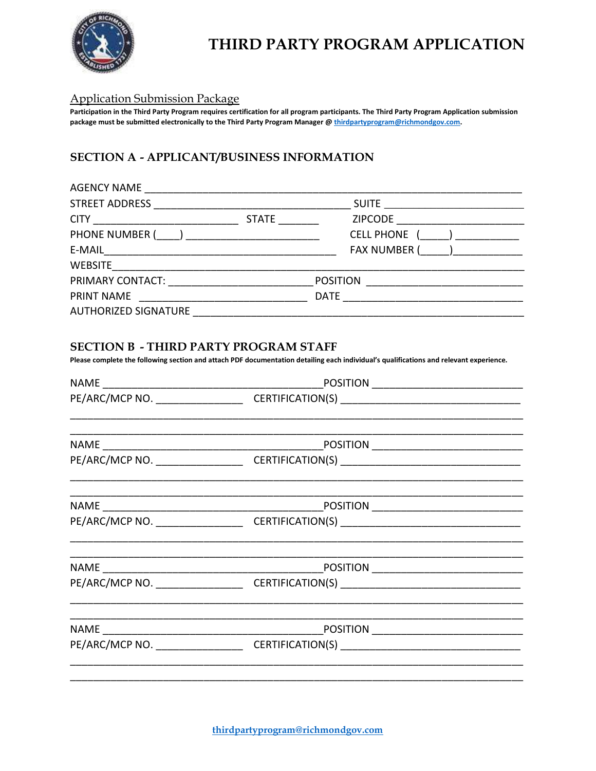

# THIRD PARTY PROGRAM APPLICATION

#### **Application Submission Package**

Participation in the Third Party Program requires certification for all program participants. The Third Party Program Application submission package must be submitted electronically to the Third Party Program Manager @ thirdpartyprogram@richmondgov.com.

### SECTION A - APPLICANT/BUSINESS INFORMATION

| AGENCY NAME                                     |              |                                 |  |
|-------------------------------------------------|--------------|---------------------------------|--|
|                                                 |              |                                 |  |
|                                                 | <b>STATE</b> | ZIPCODE _____________________   |  |
| PHONE NUMBER ( __ ) ___________________________ |              | <b>CELL PHONE</b>               |  |
|                                                 |              | FAX NUMBER ( ___ ) ____________ |  |
|                                                 |              |                                 |  |
|                                                 |              |                                 |  |
| PRINT NAME                                      |              |                                 |  |
|                                                 |              |                                 |  |

#### **SECTION B - THIRD PARTY PROGRAM STAFF**

Please complete the following section and attach PDF documentation detailing each individual's qualifications and relevant experience.

| PE/ARC/MCP NO. _________________________________CERTIFICATION(S) ___________________________________ |  |
|------------------------------------------------------------------------------------------------------|--|
|                                                                                                      |  |
|                                                                                                      |  |
| PE/ARC/MCP NO. __________________________CERTIFICATION(S) _______________________                    |  |
|                                                                                                      |  |
| PE/ARC/MCP NO. _________________________CERTIFICATION(S) ________________________                    |  |
|                                                                                                      |  |
|                                                                                                      |  |
|                                                                                                      |  |
| PE/ARC/MCP NO. __________________________CERTIFICATION(S) _______________________                    |  |
|                                                                                                      |  |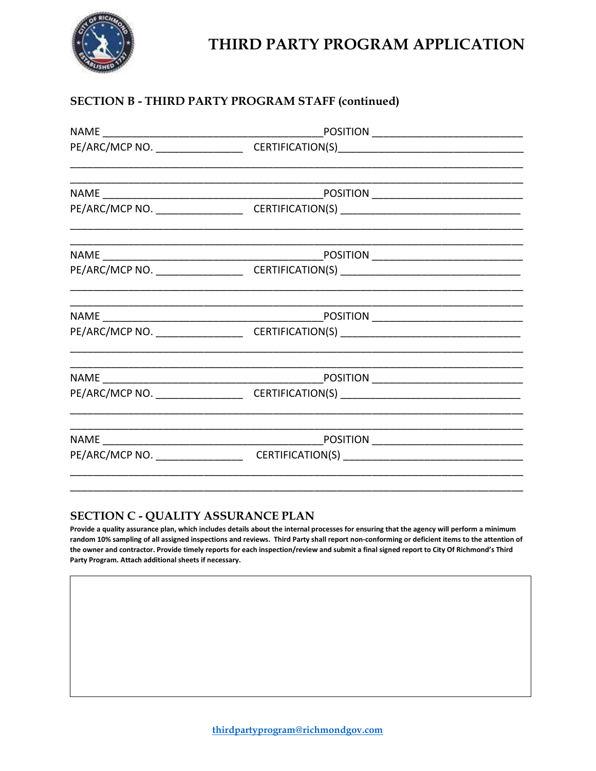

## THIRD PARTY PROGRAM APPLICATION

### SECTION B - THIRD PARTY PROGRAM STAFF (continued)

| PE/ARC/MCP NO. __________________________CERTIFICATION(S) _______________________                    |  |
|------------------------------------------------------------------------------------------------------|--|
|                                                                                                      |  |
| PE/ARC/MCP NO. __________________________CERTIFICATION(S) _______________________                    |  |
|                                                                                                      |  |
| PE/ARC/MCP NO. _________________________________CERTIFICATION(S) ___________________________________ |  |
|                                                                                                      |  |
|                                                                                                      |  |
|                                                                                                      |  |
| PE/ARC/MCP NO. _________________________________CERTIFICATION(S) ___________________________________ |  |
|                                                                                                      |  |

### SECTION C - QUALITY ASSURANCE PLAN

Provide a quality assurance plan, which includes details about the internal processes for ensuring that the agency will perform a minimum random 10% sampling of all assigned inspections and reviews. Third Party shall report non-conforming or deficient items to the attention of the owner and contractor. Provide timely reports for each inspection/review and submit a final signed report to City Of Richmond's Third Party Program. Attach additional sheets if necessary.